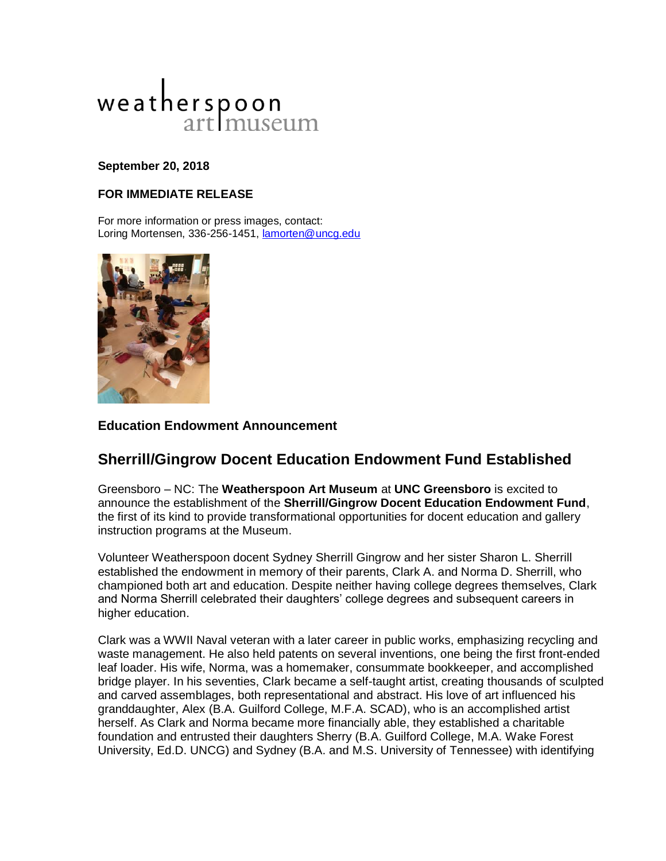

## **September 20, 2018**

## **FOR IMMEDIATE RELEASE**

For more information or press images, contact: Loring Mortensen, 336-256-1451, **lamorten@uncg.edu** 



## **Education Endowment Announcement**

# **Sherrill/Gingrow Docent Education Endowment Fund Established**

Greensboro – NC: The **Weatherspoon Art Museum** at **UNC Greensboro** is excited to announce the establishment of the **Sherrill/Gingrow Docent Education Endowment Fund**, the first of its kind to provide transformational opportunities for docent education and gallery instruction programs at the Museum.

Volunteer Weatherspoon docent Sydney Sherrill Gingrow and her sister Sharon L. Sherrill established the endowment in memory of their parents, Clark A. and Norma D. Sherrill, who championed both art and education. Despite neither having college degrees themselves, Clark and Norma Sherrill celebrated their daughters' college degrees and subsequent careers in higher education.

Clark was a WWII Naval veteran with a later career in public works, emphasizing recycling and waste management. He also held patents on several inventions, one being the first front-ended leaf loader. His wife, Norma, was a homemaker, consummate bookkeeper, and accomplished bridge player. In his seventies, Clark became a self-taught artist, creating thousands of sculpted and carved assemblages, both representational and abstract. His love of art influenced his granddaughter, Alex (B.A. Guilford College, M.F.A. SCAD), who is an accomplished artist herself. As Clark and Norma became more financially able, they established a charitable foundation and entrusted their daughters Sherry (B.A. Guilford College, M.A. Wake Forest University, Ed.D. UNCG) and Sydney (B.A. and M.S. University of Tennessee) with identifying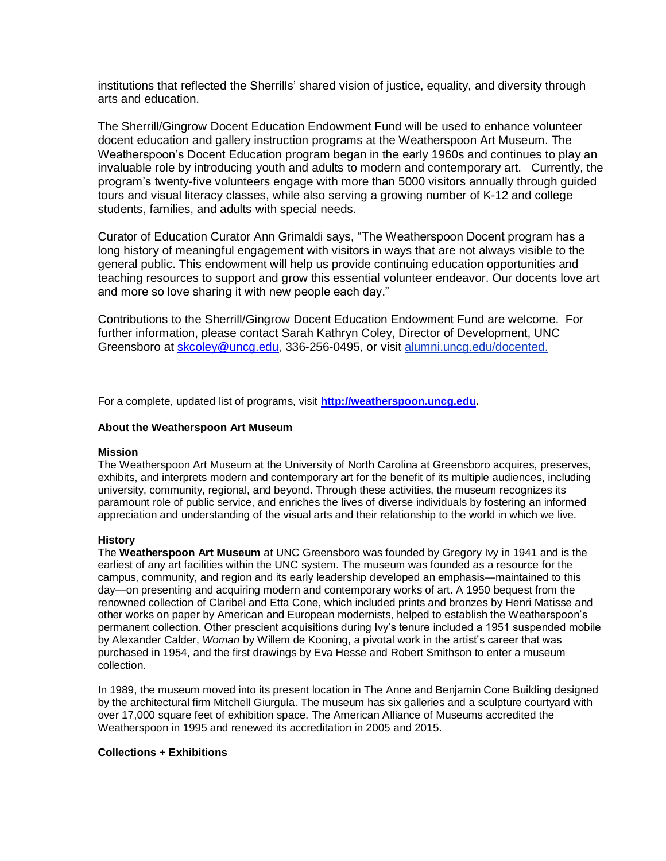institutions that reflected the Sherrills' shared vision of justice, equality, and diversity through arts and education.

The Sherrill/Gingrow Docent Education Endowment Fund will be used to enhance volunteer docent education and gallery instruction programs at the Weatherspoon Art Museum. The Weatherspoon's Docent Education program began in the early 1960s and continues to play an invaluable role by introducing youth and adults to modern and contemporary art. Currently, the program's twenty-five volunteers engage with more than 5000 visitors annually through guided tours and visual literacy classes, while also serving a growing number of K-12 and college students, families, and adults with special needs.

Curator of Education Curator Ann Grimaldi says, "The Weatherspoon Docent program has a long history of meaningful engagement with visitors in ways that are not always visible to the general public. This endowment will help us provide continuing education opportunities and teaching resources to support and grow this essential volunteer endeavor. Our docents love art and more so love sharing it with new people each day."

Contributions to the Sherrill/Gingrow Docent Education Endowment Fund are welcome. For further information, please contact Sarah Kathryn Coley, Director of Development, UNC Greensboro at [skcoley@uncg.edu,](mailto:skcoley@uncg.edu) 336-256-0495, or visit [alumni.uncg.edu/docented.](http://alumni.uncg.edu/docented)

For a complete, updated list of programs, visit **[http://weatherspoon.uncg.edu.](http://weatherspoon.uncg.edu/)**

#### **About the Weatherspoon Art Museum**

#### **Mission**

The Weatherspoon Art Museum at the University of North Carolina at Greensboro acquires, preserves, exhibits, and interprets modern and contemporary art for the benefit of its multiple audiences, including university, community, regional, and beyond. Through these activities, the museum recognizes its paramount role of public service, and enriches the lives of diverse individuals by fostering an informed appreciation and understanding of the visual arts and their relationship to the world in which we live.

#### **History**

The **Weatherspoon Art Museum** at UNC Greensboro was founded by Gregory Ivy in 1941 and is the earliest of any art facilities within the UNC system. The museum was founded as a resource for the campus, community, and region and its early leadership developed an emphasis—maintained to this day—on presenting and acquiring modern and contemporary works of art. A 1950 bequest from the renowned collection of Claribel and Etta Cone, which included prints and bronzes by Henri Matisse and other works on paper by American and European modernists, helped to establish the Weatherspoon's permanent collection. Other prescient acquisitions during Ivy's tenure included a 1951 suspended mobile by Alexander Calder, *Woman* by Willem de Kooning, a pivotal work in the artist's career that was purchased in 1954, and the first drawings by Eva Hesse and Robert Smithson to enter a museum collection.

In 1989, the museum moved into its present location in The Anne and Benjamin Cone Building designed by the architectural firm Mitchell Giurgula. The museum has six galleries and a sculpture courtyard with over 17,000 square feet of exhibition space. The American Alliance of Museums accredited the Weatherspoon in 1995 and renewed its accreditation in 2005 and 2015.

### **Collections + Exhibitions**